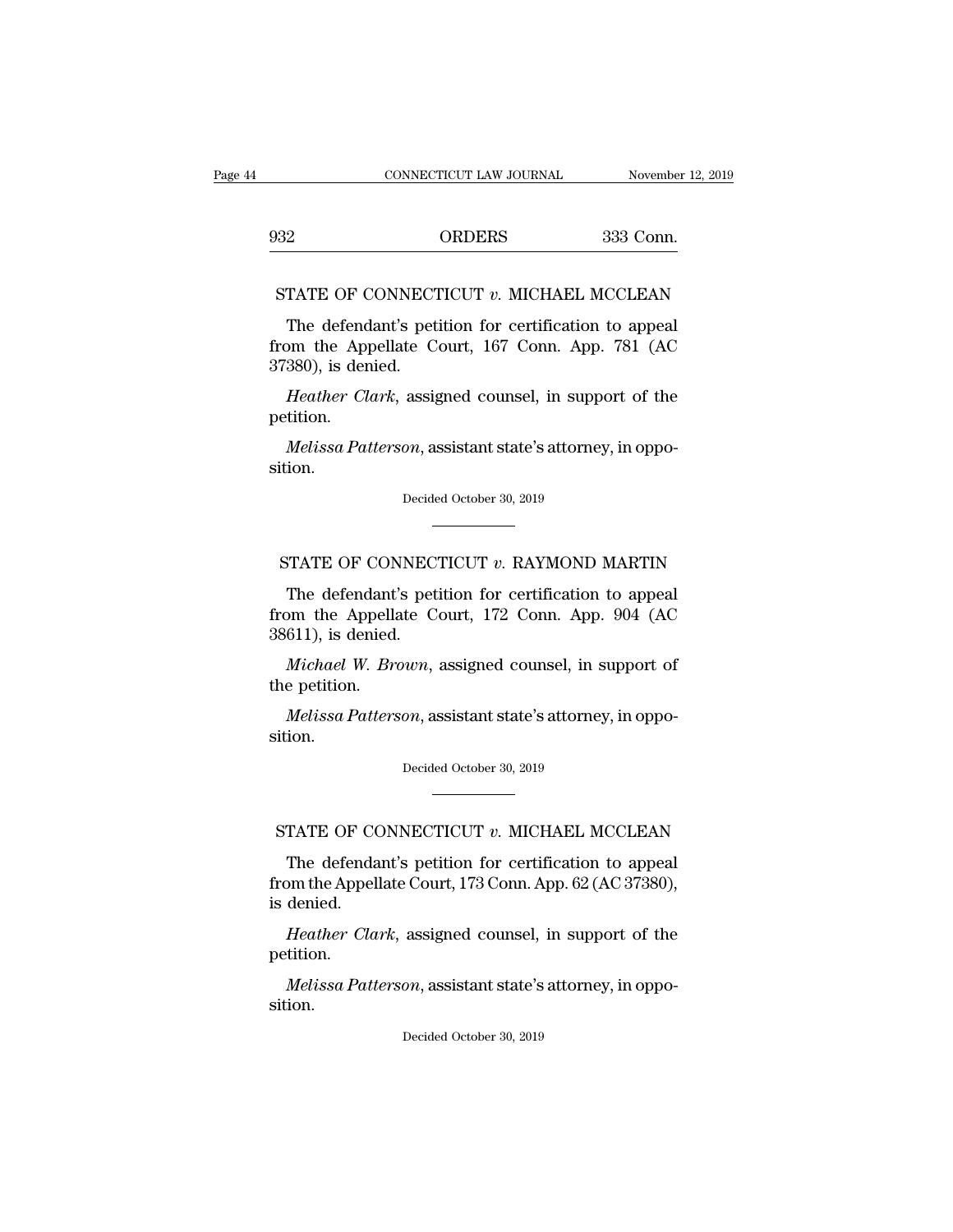EXECUTE CONNECTICUT LAW JOURNAL Movember 12, 20<br>932 ORDERS 333 Conn. CONNECTICUT LAW JOURNAL November 12, 2019<br>32 ORDERS 333 Conn.<br>STATE OF CONNECTICUT *v*. MICHAEL MCCLEAN<br>The defendant's petition for certification to appeal

ORDERS 333 Conn.<br>TATE OF CONNECTICUT v. MICHAEL MCCLEAN<br>The defendant's petition for certification to appeal<br>pm the Appellate Court, 167 Conn. App. 781 (AC<br>380) is donied 932 ORDERS 333 Conn.<br>
STATE OF CONNECTICUT  $v$ . MICHAEL MCCLEAN<br>
The defendant's petition for certification to appeal<br>
from the Appellate Court, 167 Conn. App. 781 (AC<br>
37380), is denied. 932<br>
STATE OF CONNECT<br>
The defendant's pet<br>
from the Appellate C<br>
37380), is denied.<br>
Heather Clark, assig TATE OF CONNECTICUT *v*. MICHAEL MCCLEAN<br>The defendant's petition for certification to appeal<br>om the Appellate Court, 167 Conn. App. 781 (AC<br>380), is denied.<br>*Heather Clark*, assigned counsel, in support of the<br>tition. The defendant's petition for certification to appeal<br>from the Appellate Court, 167 Conn. App. 781 (AC<br>37380), is denied.<br>*Heather Clark*, assigned counsel, in support of the

petition.

sition. *Melissa Patterson*, assistant state's attorney, in oppotion.<br>Decided October 30, 2019 Melissa Patterson, assistant state's attorney, in oppotion.<br>
Decided October 30, 2019<br>
STATE OF CONNECTICUT *v*. RAYMOND MARTIN<br>
The defendant's petition for certification to appeal

Decided October 30, 2019<br>
TATE OF CONNECTICUT v. RAYMOND MARTIN<br>
The defendant's petition for certification to appeal<br>
pm the Appellate Court, 172 Conn. App. 904 (AC<br>
611) is donied Decided October 30, 2019<br>
FRATE OF CONNECTICUT v. RAYMOND MARTIN<br>
The defendant's petition for certification to appeal<br>
from the Appellate Court, 172 Conn. App. 904 (AC<br>
38611), is denied. -<br>
STATE OF CONNEC<br>
The defendant's pet<br>
from the Appellate C<br>
38611), is denied.<br>
Michael W. Brown, FATE OF CONNECTICUT *v*. RAYMOND MARTIN<br>The defendant's petition for certification to appeal<br>om the Appellate Court, 172 Conn. App. 904 (AC<br>611), is denied.<br>*Michael W. Brown*, assigned counsel, in support of<br>e petition. STATE OF CON<br>The defendant<br>from the Appella<br>38611), is denied.<br>*Michael W. Bre*<br>the petition.<br>*Melissa Patters* The defendant's petition for certification to appeal<br>bm the Appellate Court, 172 Conn. App. 904 (AC<br>611), is denied.<br>*Michael W. Brown*, assigned counsel, in support of<br>e petition.<br>*Melissa Patterson*, assistant state's at

sition. *Melissa Patterson*, assistant state's attorney, in oppotion.<br>Decided October 30, 2019 Melissa Patterson, assistant state's attorney, in oppo-<br>ition.<br>Decided October 30, 2019<br>STATE OF CONNECTICUT *v*. MICHAEL MCCLEAN<br>The defendant's petition for certification to appeal

Decided October 30, 2019<br>
TATE OF CONNECTICUT  $v$ . MICHAEL MCCLEAN<br>
The defendant's petition for certification to appeal<br>
pm the Appellate Court, 173 Conn. App. 62 (AC 37380),<br>
dopied from the Appellate Court, 173 Conn. App. 62 (AC 37380), STATE OF CO<br>The defenda<br>from the Appel<br>is denied.<br>Heather Cla TATE OF CONNECTICUT *v*. MICHAEL MCCLEAN<br>The defendant's petition for certification to appeal<br>om the Appellate Court, 173 Conn. App. 62 (AC 37380),<br>denied.<br>*Heather Clark*, assigned counsel, in support of the<br>tition. The defendant's petition for certification to appeal<br>bm the Appellate Court, 173 Conn. App. 62 (AC 37380),<br>denied.<br>*Heather Clark*, assigned counsel, in support of the<br>tition.<br>*Melissa Patterson*, assistant state's attorne

petition.

sition. Melissa Patterson, assistant state's attorney, in oppotion.<br>Decided October 30, 2019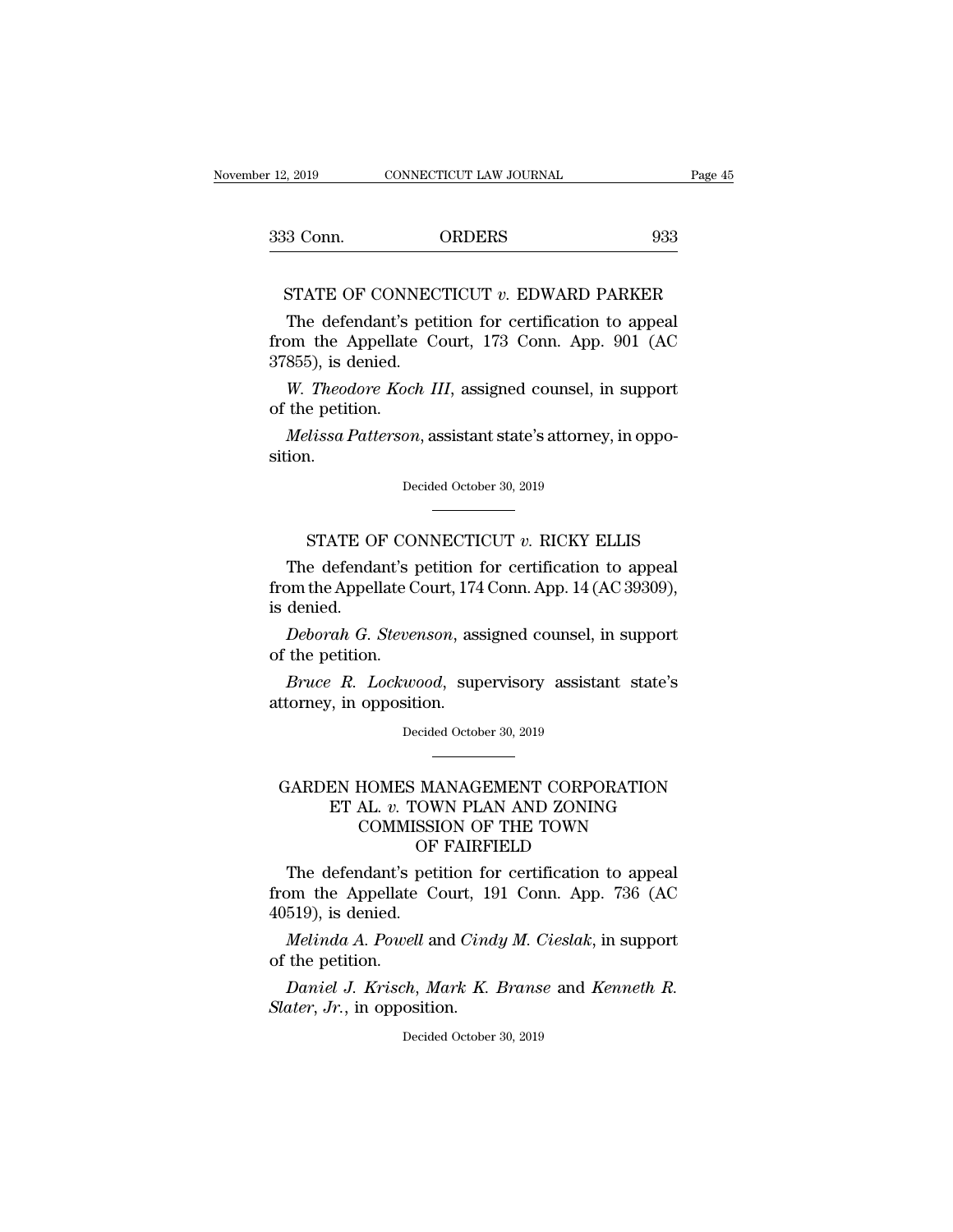| er 12, 2019 | CONNECTICUT LAW JOURNAL | Page 45 |
|-------------|-------------------------|---------|
| 333 Conn.   | <b>ORDERS</b>           | 933     |

931 CONNECTICUT LAW JOURNAL Page 45<br>
1932 Conn. ORDERS 933<br>
STATE OF CONNECTICUT *v*. EDWARD PARKER<br>
The defendant's petition for certification to appeal 3 Conn. ORDERS 933<br>
STATE OF CONNECTICUT v. EDWARD PARKER<br>
The defendant's petition for certification to appeal<br>
pm the Appellate Court, 173 Conn. App. 901 (AC 933<br>
STATE OF CONNECTICUT v. EDWARD PARKER<br>
The defendant's petition for certification to appeal<br>
from the Appellate Court, 173 Conn. App. 901 (AC<br>
37855), is denied. 333 Conn.<br>
STATE OF CONNEC<br>
The defendant's pet<br>
from the Appellate C<br>
37855), is denied.<br>
W. Theodore Koch L **STATE OF CONNECTICUT**  $v$ . **EDWARD PARKER**<br>The defendant's petition for certification to appeal<br>om the Appellate Court, 173 Conn. App. 901 (AC<br>855), is denied.<br>*W. Theodore Koch III*, assigned counsel, in support<br>the pet STATE OF CONN<br>The defendant's promise the Appellate<br>37855), is denied.<br>W. Theodore Koch<br>of the petition.<br>Melissa Patterson The defendant's petition for certification to appeal<br> *Melissa Patied.*<br> *M. Theodore Koch III*, assigned counsel, in support<br> *Melissa Patterson*, assistant state's attorney, in oppo-<br> *Melissa Patterson*, assistant state

W. *Theodore Koch III*, assigned counsel, in support<br>the petition.<br>*Melissa Patterson*, assistant state's attorney, in oppo-<br>ion.<br>Decided October 30, 2019

sition. Vissa Patterson, assistant state's attorney, in oppo-<br>
1.<br>
Decided October 30, 2019<br>
STATE OF CONNECTICUT *v*. RICKY ELLIS<br>
e defendant's petition for certification to appeal

Mettssa Fatterson, assistant state 3 attorney, in opposition.<br>
Decided October 30, 2019<br>
TATE OF CONNECTICUT  $v$ . RICKY ELLIS<br>
The defendant's petition for certification to appeal<br>
by the Appellate Court, 174 Conn. App. 14 Decided October 30, 2019<br>
FRATE OF CONNECTICUT v. RICKY ELLIS<br>
The defendant's petition for certification to appeal<br>
from the Appellate Court, 174 Conn. App. 14 (AC 39309),<br>
is denied. STATE OF<br>The defenda<br>from the Appel<br>is denied.<br>Deborah G. **STATE OF CONNECTICUT** v. RICKY ELLIS<br>The defendant's petition for certification to appeal<br>pm the Appellate Court, 174 Conn. App. 14 (AC 39309),<br>denied.<br>Deborah G. Stevenson, assigned counsel, in support<br>the petition. STATE OF CO.<br>The defendant's prom the Appellate C<br>is denied.<br>Deborah G. Steven<br>of the petition.<br>Bruce R. Lockwo The defendant's petition for certification to appeal<br>pm the Appellate Court, 174 Conn. App. 14 (AC 39309),<br>denied.<br>*Deborah G. Stevenson*, assigned counsel, in support<br>the petition.<br>*Bruce R. Lockwood*, supervisory assista From the Appellate Court, 174<br>is denied.<br>*Deborah G. Stevenson*, ass<br>of the petition.<br>*Bruce R. Lockwood*, sup<br>attorney, in opposition.<br>Decided Octob

Deborah G. Stevenson, assigned counsel, in support<br>of the petition.<br>Bruce R. Lockwood, supervisory assistant state's<br>attorney, in opposition.<br>Decided October 30, 2019

### Fuce R. Lockwood, supervisory assistant state's<br>ttorney, in opposition.<br>Decided October 30, 2019<br>GARDEN HOMES MANAGEMENT CORPORATION<br>ET AL. v. TOWN PLAN AND ZONING<br>COMMISSION OF THE TOWN ET AL. *Lockwood*, supervisory assistant state's<br>
7, in opposition.<br>
Decided October 30, 2019<br> **EN HOMES MANAGEMENT CORPORATION<br>
ET AL.** *v.* **TOWN PLAN AND ZONING<br>
COMMISSION OF THE TOWN<br>
OF FAIRFIELD** opposition.<br>
Decided October 30, 2019<br>
COMMISSION OF THE TOWN<br>
COMMISSION OF THE TOWN<br>
OF FAIRFIELD OF FAIRFIELD FI AL. *v.* TOWN PLAN AND ZONING<br>
ET AL. *v.* TOWN PLAN AND ZONING<br>
COMMISSION OF THE TOWN<br>
OF FAIRFIELD<br>
The defendant's petition for certification to appeal<br>
om the Appellate Court, 191 Conn. App. 736 (AC<br>
510) is donied GARDEN HOMES MANAGEMENT CORPORATION<br>
ET AL.  $v$ . TOWN PLAN AND ZONING<br>
COMMISSION OF THE TOWN<br>
OF FAIRFIELD<br>
The defendant's petition for certification to appeal<br>
from the Appellate Court, 191 Conn. App. 736 (AC<br>
40519), GARDEN HOMES MANDEN MOMES MANDEN HOMES MANDENT OF The defendant's pet from the Appellate C-40519), is denied.<br> *Melinda A. Powell* as

*COMMISSION OF THE TOWN*<br>*OF FAIRFIELD*<br>The defendant's petition for certification to appeal<br>om the Appellate Court, 191 Conn. App. 736 (AC<br>519), is denied.<br>*Melinda A. Powell* and *Cindy M. Cieslak*, in support<br>the petiti The defendant's processes of the Appellate<br>40519), is denied.<br>*Melinda A. Powel*<br>of the petition.<br>*Daniel J. Krisch*, The defendant's petition for certification to appeal<br> *Daniel Appellate Court, 191 Conn. App. 736 (AC*<br> *Melinda A. Powell and Cindy M. Cieslak, in support*<br>
the petition.<br> *Daniel J. Krisch, Mark K. Branse* and *Kenneth R* From the Appellate Court, 19<br>40519), is denied.<br>*Melinda A. Powell* and *Cind*<br>of the petition.<br>*Daniel J. Krisch, Mark K. Slater, Jr.,* in opposition.<br>Decided October

Melinda A. Powell and Cindy M. Cieslak, in support<br>of the petition.<br>Daniel J. Krisch, Mark K. Branse and Kenneth R.<br>Slater, Jr., in opposition.<br>Decided October 30, 2019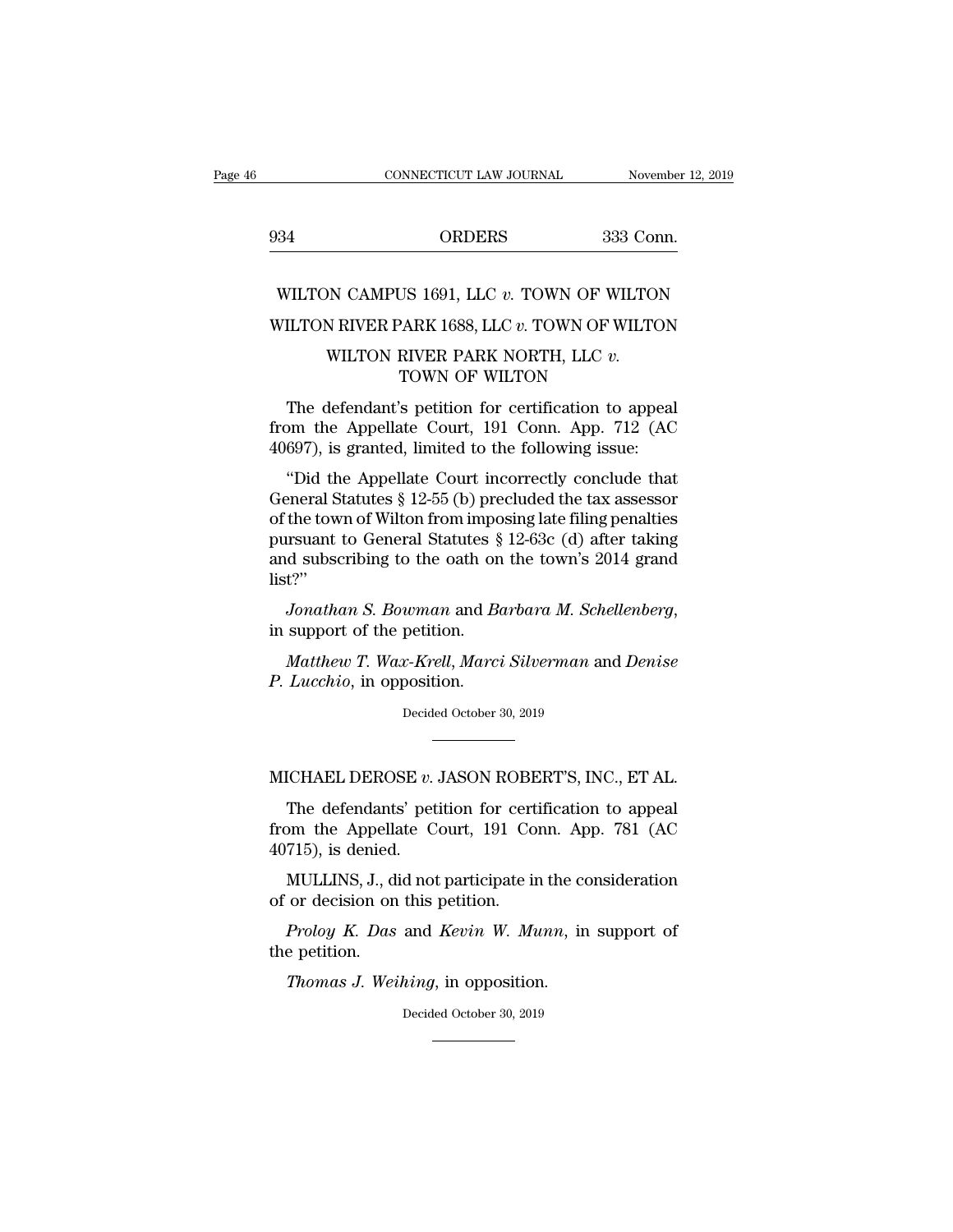|     | CONNECTICUT LAW JOURNAL                          | November 12, 2019 |
|-----|--------------------------------------------------|-------------------|
| 934 | <b>ORDERS</b>                                    | 333 Conn.         |
|     |                                                  |                   |
|     | WILTON CAMPUS 1691, LLC v. TOWN OF WILTON        |                   |
|     | WILTON RIVER PARK 1688, LLC $v$ . TOWN OF WILTON |                   |
|     | WILTON RIVER PARK NORTH, LLC v.                  |                   |

# $\begin{tabular}{ll} \multicolumn{2}{l}{{\bf ORDERS}} & \multicolumn{2}{l}{333}\,\,{\bf Conn.}\\ \multicolumn{2}{l}{\bf NN}\,\,{\bf CAMPUS}\,\, 1691,\,\,{\bf LLC}\,\,v.\,\,{\bf TOWN}\,\,{\bf OF}\,\,{\bf WILTON}\\ \multicolumn{2}{l}{\bf N}\,\,{\bf RIVER}\,\,{\bf PARK}\,\,{\bf NoRTH},\,\,{\bf LLC}\,\,v.\,\,\\ \multicolumn{2}{l}{\bf TOWN}\,\,{\bf OF}\,\,{\bf WILTON} \end{tabular}$ US 1691, LLC *v*. TOWN OF WILTO<br>PARK 1688, LLC *v*. TOWN OF WILTO<br>RIVER PARK NORTH, LLC *v*.<br>TOWN OF WILTON<br>'s petition for certification to appe

VILTON CAMPUS 1691, LLC  $v$ . TOWN OF WILTON<br>
ILTON RIVER PARK 1688, LLC  $v$ . TOWN OF WILTON<br>
WILTON RIVER PARK NORTH, LLC  $v$ .<br>
TOWN OF WILTON<br>
The defendant's petition for certification to appeal<br>
pm the Appellate Court, WILTON RIVER PARK 1688, LLC  $v$ . TOWN OF WILTON<br>WILTON RIVER PARK NORTH, LLC  $v$ .<br>TOWN OF WILTON<br>The defendant's petition for certification to appeal<br>from the Appellate Court, 191 Conn. App. 712 (AC<br>40697), is granted, li WILTON RIVER PARK 1688, LLC  $v$ . TOWN OF WILTON<br>WILTON RIVER PARK NORTH, LLC  $v$ .<br>TOWN OF WILTON<br>The defendant's petition for certification to appeal<br>from the Appellate Court, 191 Conn. App. 712 (AC<br>40697), is granted, li WILTON RIVER PARK NORTH, LLC  $v$ .<br>
TOWN OF WILTON<br>
The defendant's petition for certification to appeal<br>
om the Appellate Court, 191 Conn. App. 712 (AC<br>
697), is granted, limited to the following issue:<br>
"Did the Appellat

TOWN OF WILTON<br>The defendant's petition for certification to appeal<br>from the Appellate Court, 191 Conn. App. 712 (AC<br>40697), is granted, limited to the following issue:<br>"Did the Appellate Court incorrectly conclude that<br>G The defendant's petition for certification to appeal<br>from the Appellate Court, 191 Conn. App. 712 (AC<br>40697), is granted, limited to the following issue:<br>"Did the Appellate Court incorrectly conclude that<br>General Statutes From the Appellate Court, 191 Conn. App. 712 (AC<br>40697), is granted, limited to the following issue:<br>"Did the Appellate Court incorrectly conclude that<br>General Statutes § 12-55 (b) precluded the tax assessor<br>of the town of From the Appenate Court, 151 Contr. App. 112 (AC 40697), is granted, limited to the following issue:<br>
"Did the Appellate Court incorrectly conclude that<br>
General Statutes § 12-55 (b) precluded the tax assessor<br>
of the tow list?'' *Jonathan S. Bowman* and *Barbara M. Schellenberg*, in support of the petition.<br>*Jonathan S. Bowman* and *Barbara M. Schellenberg*, in support of the petition.<br>*Mathaw T. Wax-Krell, Marci Silverman* and *Denise Mathemsian is a General Statutes* § 12-63c (d) after taking d subscribing to the oath on the town's 2014 grand t?"<br>*Jonathan S. Bowman* and *Barbara M. Schellenberg*, support of the petition.<br>*Matthew T. Wax-Krell, Marci* and subscribing to the oath on<br>list?"<br>*Jonathan S. Bowman* and *Be*<br>in support of the petition.<br>*Matthew T. Wax-Krell, Marci*<br>*P. Lucchio,* in opposition.<br>Decided October :

in support of the petition.<br>
Matthew T. Wax-Krell, Marci Silverman and Denise<br>
P. Lucchio, in opposition.<br>
Decided October 30, 2019 Matthew T. Wax-Krell, Marci Silverman and Denise<br>P. Lucchio, in opposition.<br>Decided October 30, 2019<br>MICHAEL DEROSE *v*. JASON ROBERT'S, INC., ET AL.<br>The defendants' petition for certification to appeal

Lucchio, in opposition.<br>Decided October 30, 2019<br>CHAEL DEROSE  $v$ . JASON ROBERT'S, INC., ET AL.<br>The defendants' petition for certification to appeal<br>pm the Appellate Court, 191 Conn. App. 781 (AC<br>715) is donied Decided October 30, 2019<br>
MICHAEL DEROSE v. JASON ROBERT'S, INC., ET AL.<br>
The defendants' petition for certification to appeal<br>
from the Appellate Court, 191 Conn. App. 781 (AC<br>
40715), is denied. MICHAEL DEROSE  $v$ .<br>The defendants' pet<br>from the Appellate C<br>40715), is denied.<br>MULLINS, J., did not ICHAEL DEROSE v. JASON ROBERT'S, INC., ET AL.<br>The defendants' petition for certification to appeal<br>om the Appellate Court, 191 Conn. App. 781 (AC<br>715), is denied.<br>MULLINS, J., did not participate in the consideration<br>or de MICHAEL DEROSE  $v$ . JASON ROBE<br>The defendants' petition for cert<br>from the Appellate Court, 191 Co<br>40715), is denied.<br>MULLINS, J., did not participate in<br>of or decision on this petition.<br>Proloy K. Das and Kevin W. Mi The defendants' petition for certification to appeal<br>pm the Appellate Court, 191 Conn. App. 781 (AC<br>715), is denied.<br>MULLINS, J., did not participate in the consideration<br>or decision on this petition.<br>*Proloy K. Das* and from the Appella<br>40715), is denied.<br>MULLINS, J., diof or decision on<br>*Proloy K. Das*<br>the petition.<br>*Thomas J. Wei* 

*Thomas J.*, did not participate in the cordecision on this petition.<br>*Proloy K. Das* and *Kevin W. Munn*, in e petition.<br>*Thomas J. Weihing*, in opposition.<br>Decided October 30, 2019

Proloy K. Das and Kevin W. Munn, in support of<br>e petition.<br>Thomas J. Weihing, in opposition.<br>Decided October 30, 2019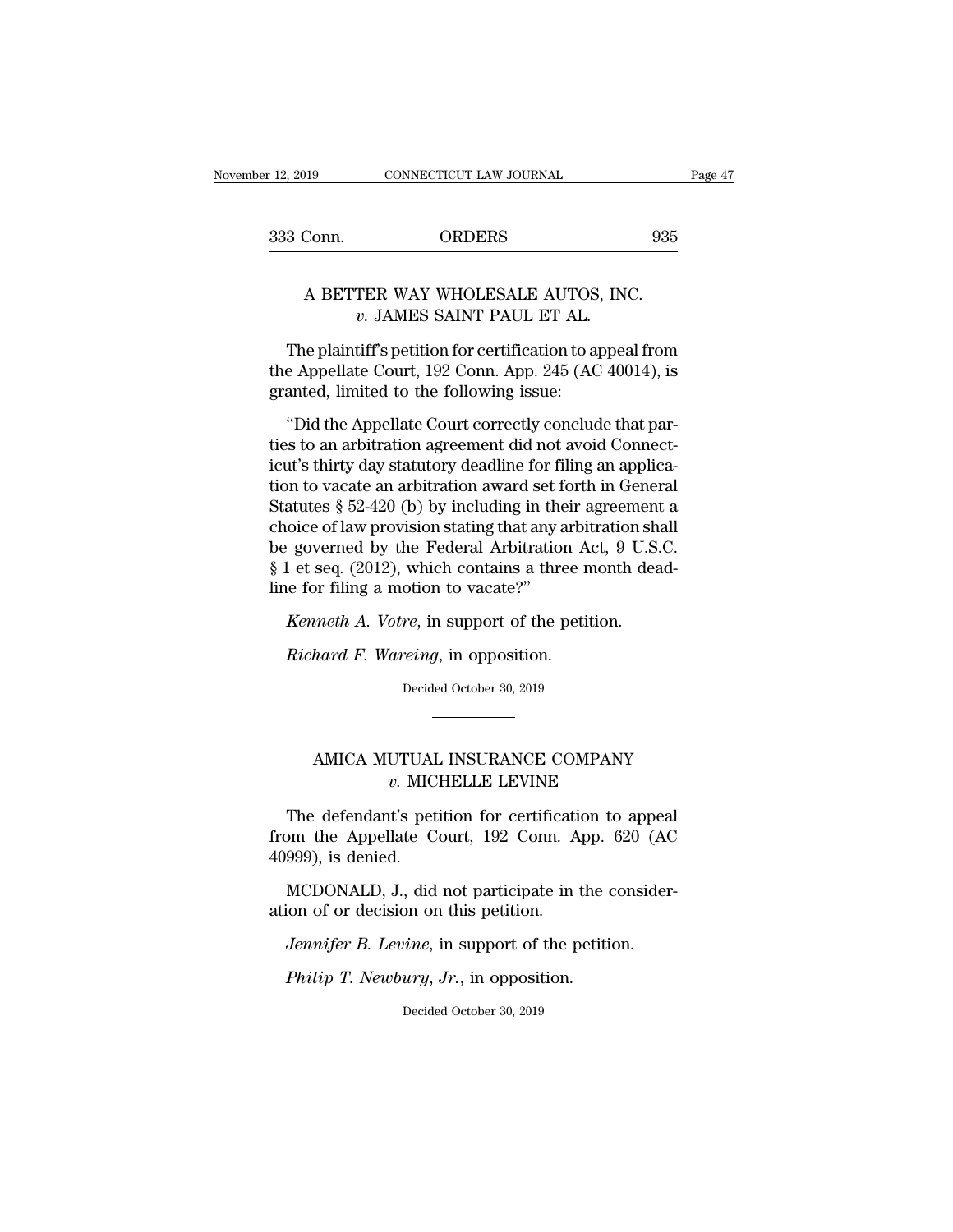| er 12, 2019 | CONNECTICUT LAW JOURNAL | Page 47 |
|-------------|-------------------------|---------|
| 333 Conn.   | <b>ORDERS</b>           | 935     |

# $\begin{tabular}{ll} \multicolumn{2}{c}{\text{19}} & \multicolumn{2}{c}{\text{CONNECTICUT LAW JOURNAL}}\\ \multicolumn{2}{c}{\text{19}} & \multicolumn{2}{c}{\text{ORDERS}} & \multicolumn{2}{c}{\text{935}}\\ \multicolumn{2}{c}{\text{A BETTER WAY WHOLESALE AUTOS, INC.}}\\ & v. JAMES SAINT PAUL ET AL. \end{tabular}$ *ORDERS*<br>*v.* **JAMES SAINT PAUL ET AL.<br>***v.* **JAMES SAINT PAUL ET AL.<br>tiff's petition for certification to appea**

3 Conn. ORDERS 935<br>
A BETTER WAY WHOLESALE AUTOS, INC.<br> *v*. JAMES SAINT PAUL ET AL.<br>
The plaintiff's petition for certification to appeal from<br>
e Appellate Court, 192 Conn. App. 245 (AC 40014), is<br>
anted limited to the fo A BETTER WAY WHOLESALE AUTOS, INC.<br> *v*. JAMES SAINT PAUL ET AL.<br>
The plaintiff's petition for certification to appeal from<br>
the Appellate Court, 192 Conn. App. 245 (AC 40014), is<br>
granted, limited to the following issue: A BETTER WAY WHOLESALE AUTOS<br>
v. JAMES SAINT PAUL ET AL.<br>
The plaintiff's petition for certification to ap<br>
the Appellate Court, 192 Conn. App. 245 (AC<br>
granted, limited to the following issue:<br>
"Did the Appellate Court co A BETTER WAT WHOLESALE ACTOS, INC.<br>
v. JAMES SAINT PAUL ET AL.<br>
The plaintiff's petition for certification to appeal from<br>
e Appellate Court, 192 Conn. App. 245 (AC 40014), is<br>
anted, limited to the following issue:<br>
"Did

 $v$ . JAMES SAINT PAUL ET AL.<br>The plaintiff's petition for certification to appeal from<br>the Appellate Court, 192 Conn. App. 245 (AC 40014), is<br>granted, limited to the following issue:<br>"Did the Appellate Court correctly con The plaintiff's petition for certification to appeal from<br>the Appellate Court, 192 Conn. App. 245 (AC 40014), is<br>granted, limited to the following issue:<br>"Did the Appellate Court correctly conclude that par-<br>ties to an ar the Appellate Court, 192 Conn. App. 245 (AC 40014), is<br>granted, limited to the following issue:<br>"Did the Appellate Court correctly conclude that par-<br>ties to an arbitration agreement did not avoid Connect-<br>icut's thirty da Frame of the following issue:<br>
"Did the Appellate Court correctly conclude that parties to an arbitration agreement did not avoid Connecticut's thirty day statutory deadline for filing an application to vacate an arbitrati "Did the Appellate Court correctly conclude that parties to an arbitration agreement did not avoid Connecticut's thirty day statutory deadline for filing an application to vacate an arbitration award set forth in General "Did the Appellate Court correctly conclude that parties to an arbitration agreement did not avoid Connecticut's thirty day statutory deadline for filing an application to vacate an arbitration award set forth in General ties to an arbitration agreement did not avoid Connecticut's thirty day statutory deadline for filing an application to vacate an arbitration award set forth in General Statutes § 52-420 (b) by including in their agreement icut's thirty day statutory deadline for filion to vacate an arbitration award set f<br>Statutes § 52-420 (b) by including in the<br>choice of law provision stating that any a<br>be governed by the Federal Arbitration<br>§ 1 et seq. Fractures § 52-420 (b) by including in their agreement<br>atutes § 52-420 (b) by including in their agreement<br>oice of law provision stating that any arbitration sh<br>governed by the Federal Arbitration Act, 9 U.S.<br>I et seq. (20 Fraction Stating that any arbitration A<br> *Richard By* the Federal Arbitration A<br> *Richard A. Votre, in support of the petitudeneral*<br> *Richard F. Wareing, in opposition.*<br> *Richard F. Wareing, in opposition.*<br> *Decided Oct* line for filing a motion to vacate?"<br> *Kenneth A. Votre*, in support of the petition.<br> *Richard F. Wareing*, in opposition.<br>
Decided October 30, 2019

# Mard F. Wareing, in opposition.<br>Decided October 30, 2019<br>AMICA MUTUAL INSURANCE COMPANY<br>v. MICHELLE LEVINE *areing*, in opposition.<br>
Decided October 30, 2019<br> **V. MICHELLE LEVINE**<br> *v.* MICHELLE LEVINE<br> *v.* MICHELLE LEVINE<br> *v.* Spetition for certification to appe

The defendant's petition for certification to appeal AMICA MUTUAL INSURANCE COMPANY<br>
v. MICHELLE LEVINE<br>
The defendant's petition for certification to appeal<br>
from the Appellate Court, 192 Conn. App. 620 (AC<br>
40999), is denied. AMICA MUTUAL<br> *v.* MIC<br>
The defendant's pet<br>
from the Appellate C<br>
40999), is denied.<br>
MCDONALD, J., did metally community with the COMEN COMENAL with the defendant's petition for certification to appeal<br>om the Appellate Court, 192 Conn. App. 620 (AC<br>999), is denied.<br>MCDONALD, J., did not participate in the consider-<br>ion of o *ation* the defendant's petition for certification<br>from the Appellate Court, 192 Conn. A<br>40999), is denied.<br>MCDONALD, J., did not participate in thation of or decision on this petition.<br>*Jennifer B. Levine*, in support of The detendant's petition for certification to appear<br> *Jennifer B. J.*, did not participate in the consider<br> *Jennifer B. Levine*, in support of the petition.<br> *Jennifer B. Levine*, in support of the petition.<br> *Philip T.* 

*Philip T. I.*, did not participate in the dion of or decision on this petition.<br>*Jennifer B. Levine*, in support of the petition.<br>*Philip T. Newbury*, *Jr.*, in opposition.<br>Decided October 30, 2019 ation of or decision on this petition.<br> *Jennifer B. Levine*, in support of the petition.<br> *Philip T. Newbury, Jr.*, in opposition.<br>
Decided October 30, 2019